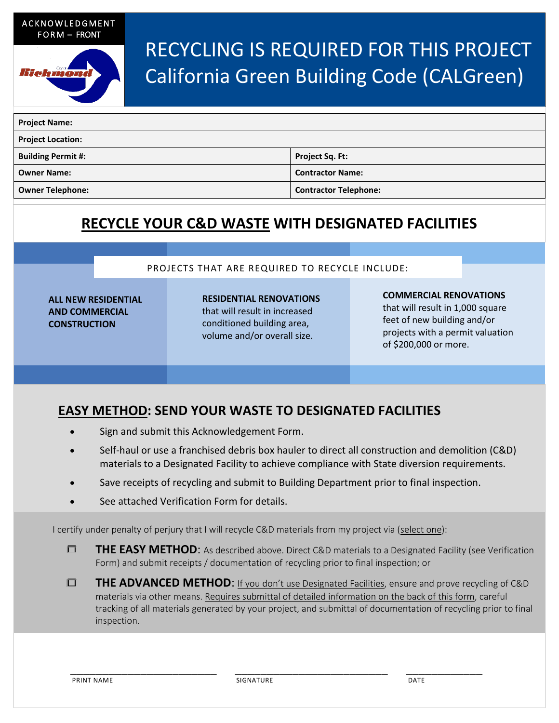ACKNOWLEDGMENT FORM – FRONT



# RECYCLING IS REQUIRED FOR THIS PROJECT California Green Building Code (CALGreen)

| <b>Project Name:</b>      |                              |  |
|---------------------------|------------------------------|--|
| <b>Project Location:</b>  |                              |  |
| <b>Building Permit #:</b> | <b>Project Sq. Ft:</b>       |  |
| <b>Owner Name:</b>        | <b>Contractor Name:</b>      |  |
| <b>Owner Telephone:</b>   | <b>Contractor Telephone:</b> |  |

### **RECYCLE YOUR C&D WASTE WITH DESIGNATED FACILITIES**

#### PROJECTS THAT ARE REQUIRED TO RECYCLE INCLUDE:

**ALL NEW RESIDENTIAL AND COMMERCIAL CONSTRUCTION**

**RESIDENTIAL RENOVATIONS**  that will result in increased conditioned building area, volume and/or overall size.

#### **COMMERCIAL RENOVATIONS**

that will result in 1,000 square feet of new building and/or projects with a permit valuation of \$200,000 or more.

### **EASY METHOD: SEND YOUR WASTE TO DESIGNATED FACILITIES**

- Sign and submit this Acknowledgement Form.
- Self-haul or use a franchised debris box hauler to direct all construction and demolition (C&D) materials to a Designated Facility to achieve compliance with State diversion requirements.
- Save receipts of recycling and submit to Building Department prior to final inspection.
- See attached Verification Form for details.

I certify under penalty of perjury that I will recycle C&D materials from my project via (select one):

- **THE EASY METHOD:** As described above. Direct C&D materials to a Designated Facility (see Verification Form) and submit receipts / documentation of recycling prior to final inspection; or
- **THE ADVANCED METHOD:** If you don't use Designated Facilities, ensure and prove recycling of C&D materials via other means. Requires submittal of detailed information on the back of this form, careful tracking of all materials generated by your project, and submittal of documentation of recycling prior to final inspection.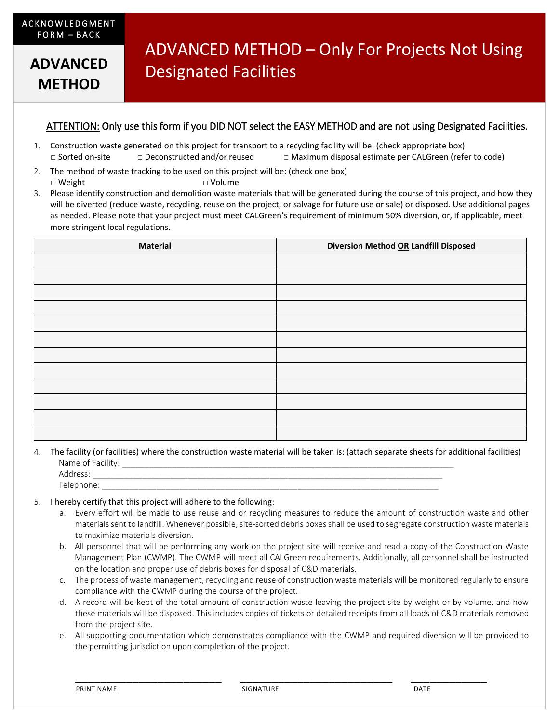**METHOD**

## ADVANCED METHOD – Only For Projects Not Using Designated Facilities **ADVANCED**

#### ATTENTION: Only use this form if you DID NOT select the EASY METHOD and are not using Designated Facilities.

- 1. Construction waste generated on this project for transport to a recycling facility will be: (check appropriate box) □ Sorted on-site □ Deconstructed and/or reused □ Maximum disposal estimate per CALGreen (refer to code)
- 2. The method of waste tracking to be used on this project will be: (check one box) □ Weight □ Volume
- 3. Please identify construction and demolition waste materials that will be generated during the course of this project, and how they will be diverted (reduce waste, recycling, reuse on the project, or salvage for future use or sale) or disposed. Use additional pages as needed. Please note that your project must meet CALGreen's requirement of minimum 50% diversion, or, if applicable, meet more stringent local regulations.

| <b>Material</b> | Diversion Method OR Landfill Disposed |
|-----------------|---------------------------------------|
|                 |                                       |
|                 |                                       |
|                 |                                       |
|                 |                                       |
|                 |                                       |
|                 |                                       |
|                 |                                       |
|                 |                                       |
|                 |                                       |
|                 |                                       |
|                 |                                       |
|                 |                                       |

4. The facility (or facilities) where the construction waste material will be taken is: (attach separate sheets for additional facilities) Name of Facility:

|                                     | _________<br>______<br>______ |        |  |
|-------------------------------------|-------------------------------|--------|--|
| ddress.<br>$\overline{\phantom{a}}$ |                               |        |  |
| elephone:                           | _______<br>_______            | ______ |  |
|                                     |                               |        |  |

#### 5. I hereby certify that this project will adhere to the following:

- a. Every effort will be made to use reuse and or recycling measures to reduce the amount of construction waste and other materials sent to landfill. Whenever possible, site-sorted debris boxes shall be used to segregate construction waste materials to maximize materials diversion.
- b. All personnel that will be performing any work on the project site will receive and read a copy of the Construction Waste Management Plan (CWMP). The CWMP will meet all CALGreen requirements. Additionally, all personnel shall be instructed on the location and proper use of debris boxes for disposal of C&D materials.
- c. The process of waste management, recycling and reuse of construction waste materials will be monitored regularly to ensure compliance with the CWMP during the course of the project.
- d. A record will be kept of the total amount of construction waste leaving the project site by weight or by volume, and how these materials will be disposed. This includes copies of tickets or detailed receipts from all loads of C&D materials removed from the project site.
- e. All supporting documentation which demonstrates compliance with the CWMP and required diversion will be provided to the permitting jurisdiction upon completion of the project.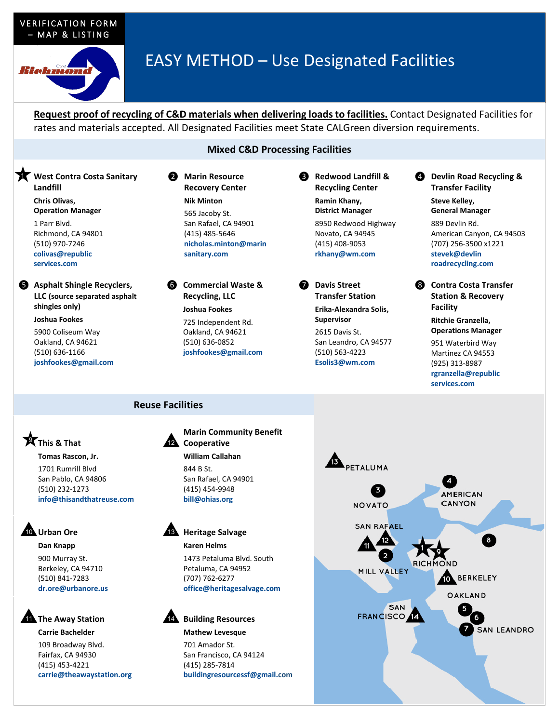#### VERIFICATION FORM – MAP & LISTING



## EASY METHOD – Use Designated Facilities

**Request proof of recycling of C&D materials when delivering loads to facilities.** Contact Designated Facilities for rates and materials accepted. All Designated Facilities meet State CALGreen diversion requirements.

### **Mixed C&D Processing Facilities**

**K** West Contra Costa Sanitary **Landfill**

> **Chris Olivas, Operation Manager** 1 Parr Blvd. Richmond, CA 94801 (510) 970-7246 **colivas@republic services.com**

❺ **Asphalt Shingle Recyclers, LLC (source separated asphalt shingles only)**

> **Joshua Fookes** 5900 Coliseum Way Oakland, CA 94621 (510) 636-1166 **joshfookes@gmail.com**

❷ **Marin Resource Recovery Center Nik Minton** 565 Jacoby St. San Rafael, CA 94901 (415) 485-5646 **nicholas.minton@marin sanitary.com**

❻ **Commercial Waste & Recycling, LLC Joshua Fookes** 725 Independent Rd.

Oakland, CA 94621 (510) 636-0852 **joshfookes@gmail.com** ❸ **Redwood Landfill & Recycling Center Ramin Khany, District Manager** 8950 Redwood Highway Novato, CA 94945 (415) 408-9053

**rkhany@wm.com**

❼ **Davis Street Transfer Station Erika-Alexandra Solis, Supervisor** 2615 Davis St. San Leandro, CA 94577 (510) 563-4223 **Esolis3@wm.com**

❹ **Devlin Road Recycling & Transfer Facility**

> **Steve Kelley, General Manager**

889 Devlin Rd. American Canyon, CA 94503 (707) 256-3500 x1221 **stevek@devlin roadrecycling.com**

❽ **Contra Costa Transfer Station & Recovery Facility**

> **Ritchie Granzella, Operations Manager**

951 Waterbird Way Martinez CA 94553 (925) 313-8987 **rgranzella@republic services.com**

#### **Reuse Facilities**

12

### **This & That** 9

**Tomas Rascon, Jr.** 1701 Rumrill Blvd San Pablo, CA 94806 (510) 232-1273 **info@thisandthatreuse.com**

### **10** Urban Ore

**Dan Knapp** 900 Murray St. Berkeley, CA 94710 (510) 841-7283 **dr.ore@urbanore.us**

### **The Away Station**

#### **Carrie Bachelder**

109 Broadway Blvd. Fairfax, CA 94930 (415) 453-4221 **carrie@theawaystation.org**

**Marin Community Benefit Cooperative William Callahan** 844 B St.

San Rafael, CA 94901 (415) 454-9948 **bill@ohias.org**

**13** Heritage Salvage **Karen Helms**

> 1473 Petaluma Blvd. South Petaluma, CA 94952 (707) 762-6277 **office@heritagesalvage.com**

### 14 Building Resources

#### **Mathew Levesque**

701 Amador St. San Francisco, CA 94124 (415) 285-7814 **buildingresourcessf@gmail.com**